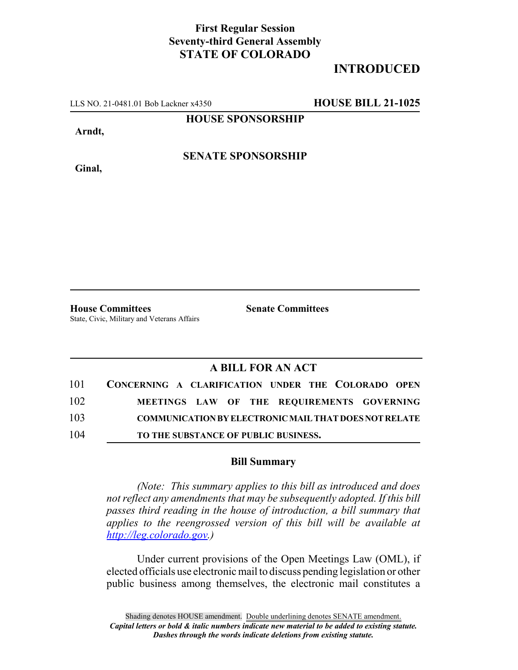## **First Regular Session Seventy-third General Assembly STATE OF COLORADO**

## **INTRODUCED**

LLS NO. 21-0481.01 Bob Lackner x4350 **HOUSE BILL 21-1025**

**HOUSE SPONSORSHIP**

**Arndt,**

**SENATE SPONSORSHIP**

**Ginal,**

**House Committees Senate Committees** State, Civic, Military and Veterans Affairs

### **A BILL FOR AN ACT**

| 101 | CONCERNING A CLARIFICATION UNDER THE COLORADO OPEN           |
|-----|--------------------------------------------------------------|
| 102 | MEETINGS LAW OF THE REQUIREMENTS GOVERNING                   |
| 103 | <b>COMMUNICATION BY ELECTRONIC MAIL THAT DOES NOT RELATE</b> |
| 104 | TO THE SUBSTANCE OF PUBLIC BUSINESS.                         |

#### **Bill Summary**

*(Note: This summary applies to this bill as introduced and does not reflect any amendments that may be subsequently adopted. If this bill passes third reading in the house of introduction, a bill summary that applies to the reengrossed version of this bill will be available at http://leg.colorado.gov.)*

Under current provisions of the Open Meetings Law (OML), if elected officials use electronic mail to discuss pending legislation or other public business among themselves, the electronic mail constitutes a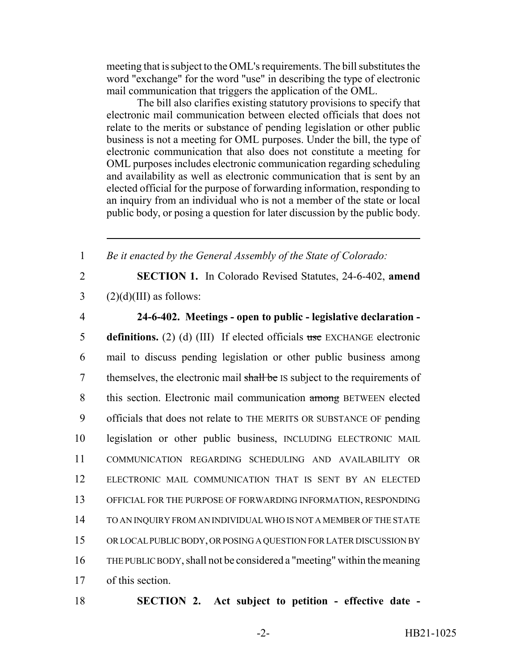meeting that is subject to the OML's requirements. The bill substitutes the word "exchange" for the word "use" in describing the type of electronic mail communication that triggers the application of the OML.

The bill also clarifies existing statutory provisions to specify that electronic mail communication between elected officials that does not relate to the merits or substance of pending legislation or other public business is not a meeting for OML purposes. Under the bill, the type of electronic communication that also does not constitute a meeting for OML purposes includes electronic communication regarding scheduling and availability as well as electronic communication that is sent by an elected official for the purpose of forwarding information, responding to an inquiry from an individual who is not a member of the state or local public body, or posing a question for later discussion by the public body.

1 *Be it enacted by the General Assembly of the State of Colorado:*

2 **SECTION 1.** In Colorado Revised Statutes, 24-6-402, **amend**  $3 \qquad (2)(d)(III)$  as follows:

# 4 **24-6-402. Meetings - open to public - legislative declaration -**

 **definitions.** (2) (d) (III) If elected officials use EXCHANGE electronic mail to discuss pending legislation or other public business among 7 themselves, the electronic mail shall be IS subject to the requirements of 8 this section. Electronic mail communication among BETWEEN elected officials that does not relate to THE MERITS OR SUBSTANCE OF pending legislation or other public business, INCLUDING ELECTRONIC MAIL COMMUNICATION REGARDING SCHEDULING AND AVAILABILITY OR ELECTRONIC MAIL COMMUNICATION THAT IS SENT BY AN ELECTED OFFICIAL FOR THE PURPOSE OF FORWARDING INFORMATION, RESPONDING TO AN INQUIRY FROM AN INDIVIDUAL WHO IS NOT A MEMBER OF THE STATE OR LOCAL PUBLIC BODY, OR POSING A QUESTION FOR LATER DISCUSSION BY THE PUBLIC BODY, shall not be considered a "meeting" within the meaning of this section.

18 **SECTION 2. Act subject to petition - effective date -**